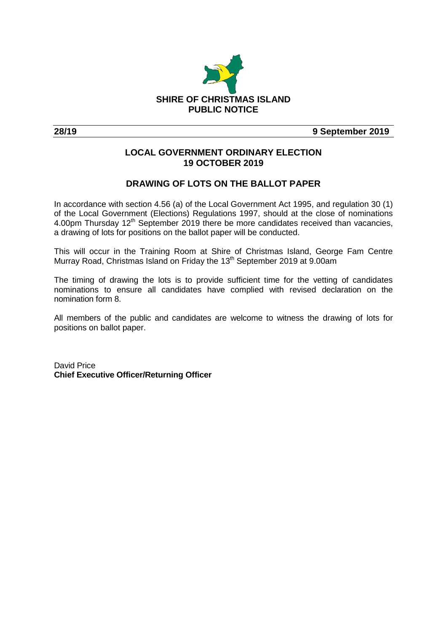

**28/19 9 September 2019**

### **LOCAL GOVERNMENT ORDINARY ELECTION 19 OCTOBER 2019**

#### **DRAWING OF LOTS ON THE BALLOT PAPER**

In accordance with section 4.56 (a) of the Local Government Act 1995, and regulation 30 (1) of the Local Government (Elections) Regulations 1997, should at the close of nominations 4.00pm Thursday 12<sup>th</sup> September 2019 there be more candidates received than vacancies, a drawing of lots for positions on the ballot paper will be conducted.

This will occur in the Training Room at Shire of Christmas Island, George Fam Centre Murray Road, Christmas Island on Friday the 13<sup>th</sup> September 2019 at 9.00am

The timing of drawing the lots is to provide sufficient time for the vetting of candidates nominations to ensure all candidates have complied with revised declaration on the nomination form 8.

All members of the public and candidates are welcome to witness the drawing of lots for positions on ballot paper.

David Price **Chief Executive Officer/Returning Officer**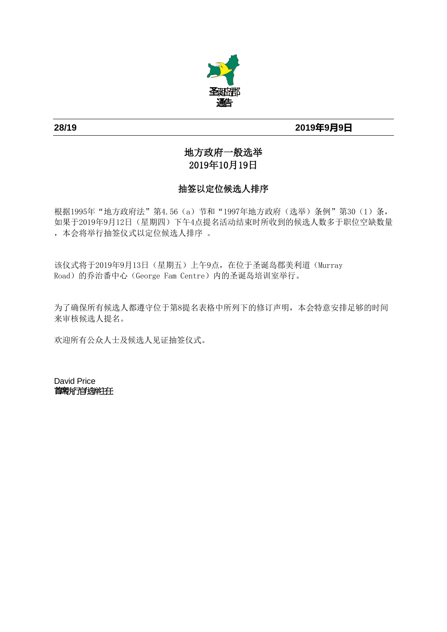

## **28/19 2019年9月9日**

# 地方政府一般选举 2019年10月19日

# 抽签以定位候选人排序

根据1995年"地方政府法"第4.56(a)节和"1997年地方政府(选举)条例"第30(1)条, 如果于2019年9月12日(星期四)下午4点提名活动结束时所收到的候选人数多于职位空缺数量 ,本会将举行抽签仪式以定位候选人排序 。

该仪式将于2019年9月13日(星期五)上午9点,在位于圣诞岛郡美利道(Murray Road)的乔治番中心(George Fam Centre)内的圣诞岛培训室举行。

为了确保所有候选人都遵守位于第8提名表格中所列下的修订声明,本会特意安排足够的时间 来审核候选人提名。

欢迎所有公众人士及候选人见证抽签仪式。

David Price 首席执行官**/**选举主任